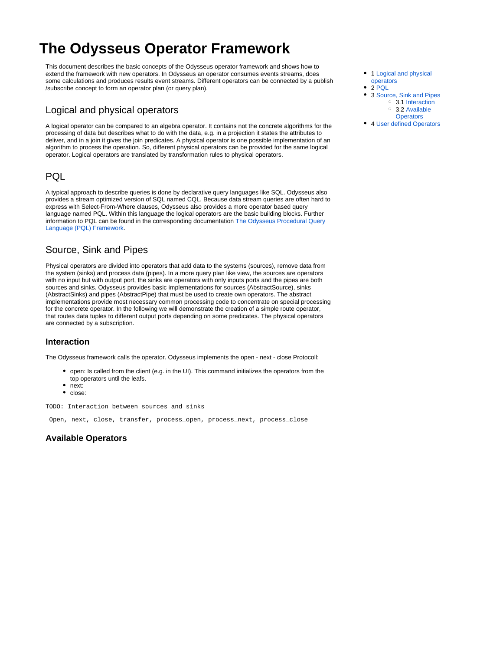# **The Odysseus Operator Framework**

This document describes the basic concepts of the Odysseus operator framework and shows how to extend the framework with new operators. In Odysseus an operator consumes events streams, does some calculations and produces results event streams. Different operators can be connected by a publish /subscribe concept to form an operator plan (or query plan).

## <span id="page-0-0"></span>Logical and physical operators

A logical operator can be compared to an algebra operator. It contains not the concrete algorithms for the processing of data but describes what to do with the data, e.g. in a projection it states the attributes to deliver, and in a join it gives the join predicates. A physical operator is one possible implementation of an algorithm to process the operation. So, different physical operators can be provided for the same logical operator. Logical operators are translated by transformation rules to physical operators.

#### <span id="page-0-1"></span>PQL

A typical approach to describe queries is done by declarative query languages like SQL. Odysseus also provides a stream optimized version of SQL named CQL. Because data stream queries are often hard to express with Select-From-Where clauses, Odysseus also provides a more operator based query language named PQL. Within this language the logical operators are the basic building blocks. Further information to PQL can be found in the corresponding documentation [The Odysseus Procedural Query](https://wiki.odysseus.informatik.uni-oldenburg.de/display/ODYSSEUS/The+Odysseus+Procedural+Query+Language+%28PQL%29+Framework)  [Language \(PQL\) Framework.](https://wiki.odysseus.informatik.uni-oldenburg.de/display/ODYSSEUS/The+Odysseus+Procedural+Query+Language+%28PQL%29+Framework)

### <span id="page-0-2"></span>Source, Sink and Pipes

Physical operators are divided into operators that add data to the systems (sources), remove data from the system (sinks) and process data (pipes). In a more query plan like view, the sources are operators with no input but with output port, the sinks are operators with only inputs ports and the pipes are both sources and sinks. Odysseus provides basic implementations for sources (AbstractSource), sinks (AbstractSinks) and pipes (AbstractPipe) that must be used to create own operators. The abstract implementations provide most necessary common processing code to concentrate on special processing for the concrete operator. In the following we will demonstrate the creation of a simple route operator, that routes data tuples to different output ports depending on some predicates. The physical operators are connected by a subscription.

#### <span id="page-0-3"></span>**Interaction**

The Odysseus framework calls the operator. Odysseus implements the open - next - close Protocoll:

- open: Is called from the client (e.g. in the UI). This command initializes the operators from the top operators until the leafs.
- next:
- $\bullet$ close:

TODO: Interaction between sources and sinks

Open, next, close, transfer, process\_open, process\_next, process\_close

#### <span id="page-0-4"></span>**Available Operators**

- 1 Logical and physical [operators](#page-0-0)
- $\bullet$  2 [PQL](#page-0-1)
- 3 [Source, Sink and Pipes](#page-0-2) 3.1 [Interaction](#page-0-3) 3.2 [Available](#page-0-4)  **[Operators](#page-0-4)**
- 4 [User defined Operators](#page-1-0)